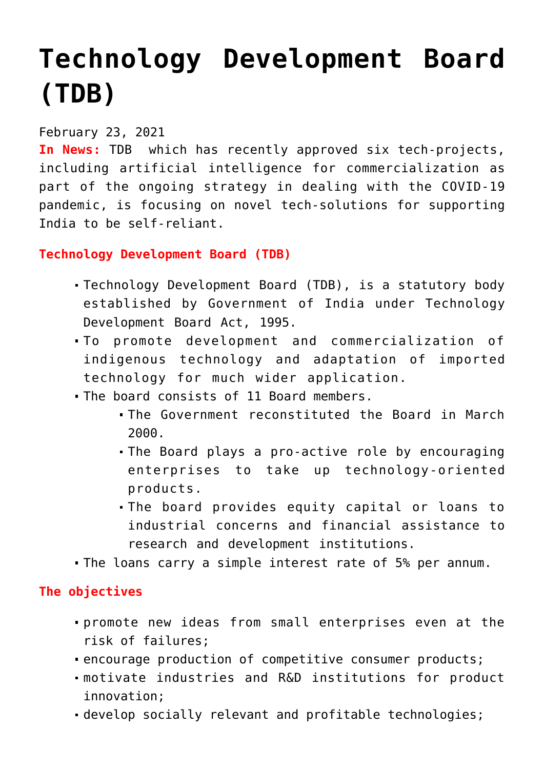## **[Technology Development Board](https://journalsofindia.com/technology-development-board-tdb/) [\(TDB\)](https://journalsofindia.com/technology-development-board-tdb/)**

## February 23, 2021

**In News:** TDB which has recently approved six tech-projects, including artificial intelligence for commercialization as part of the ongoing strategy in dealing with the COVID-19 pandemic, is focusing on novel tech-solutions for supporting India to be self-reliant.

## **Technology Development Board (TDB)**

- Technology Development Board (TDB), is a statutory body established by Government of India under Technology Development Board Act, 1995.
- To promote development and commercialization of indigenous technology and adaptation of imported technology for much wider application.
- The board consists of 11 Board members.
	- The Government reconstituted the Board in March 2000.
	- The Board plays a pro-active role by encouraging enterprises to take up technology-oriented products.
	- The board provides equity capital or loans to industrial concerns and financial assistance to research and development institutions.
- The loans carry a simple interest rate of 5% per annum.

## **The objectives**

- promote new ideas from small enterprises even at the risk of failures;
- encourage production of competitive consumer products;
- motivate industries and R&D institutions for product innovation;
- develop socially relevant and profitable technologies;